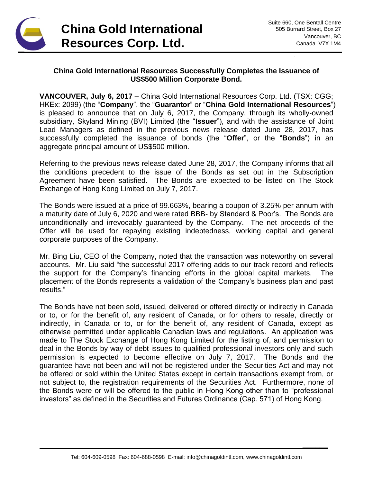

**\_\_\_\_\_\_**

## **China Gold International Resources Successfully Completes the Issuance of US\$500 Million Corporate Bond.**

**VANCOUVER, July 6, 2017** – China Gold International Resources Corp. Ltd. (TSX: CGG; HKEx: 2099) (the "**Company**", the "**Guarantor**" or "**China Gold International Resources**") is pleased to announce that on July 6, 2017, the Company, through its wholly-owned subsidiary, Skyland Mining (BVI) Limited (the "**Issuer**"), and with the assistance of Joint Lead Managers as defined in the previous news release dated June 28, 2017, has successfully completed the issuance of bonds (the "**Offer**", or the "**Bonds**") in an aggregate principal amount of US\$500 million.

Referring to the previous news release dated June 28, 2017, the Company informs that all the conditions precedent to the issue of the Bonds as set out in the Subscription Agreement have been satisfied. The Bonds are expected to be listed on The Stock Exchange of Hong Kong Limited on July 7, 2017.

The Bonds were issued at a price of 99.663%, bearing a coupon of 3.25% per annum with a maturity date of July 6, 2020 and were rated BBB- by Standard & Poor's. The Bonds are unconditionally and irrevocably guaranteed by the Company. The net proceeds of the Offer will be used for repaying existing indebtedness, working capital and general corporate purposes of the Company.

Mr. Bing Liu, CEO of the Company, noted that the transaction was noteworthy on several accounts. Mr. Liu said "the successful 2017 offering adds to our track record and reflects the support for the Company's financing efforts in the global capital markets. The placement of the Bonds represents a validation of the Company's business plan and past results."

The Bonds have not been sold, issued, delivered or offered directly or indirectly in Canada or to, or for the benefit of, any resident of Canada, or for others to resale, directly or indirectly, in Canada or to, or for the benefit of, any resident of Canada, except as otherwise permitted under applicable Canadian laws and regulations. An application was made to The Stock Exchange of Hong Kong Limited for the listing of, and permission to deal in the Bonds by way of debt issues to qualified professional investors only and such permission is expected to become effective on July 7, 2017. The Bonds and the guarantee have not been and will not be registered under the Securities Act and may not be offered or sold within the United States except in certain transactions exempt from, or not subject to, the registration requirements of the Securities Act. Furthermore, none of the Bonds were or will be offered to the public in Hong Kong other than to "professional investors" as defined in the Securities and Futures Ordinance (Cap. 571) of Hong Kong.